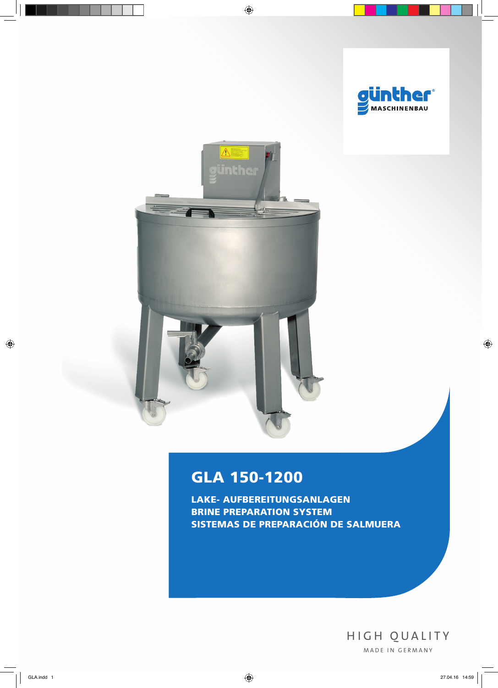



# GLA 150-1200

Lake- Aufbereitungsanlagen Brine preparation system Sistemas de preparación de salmuera